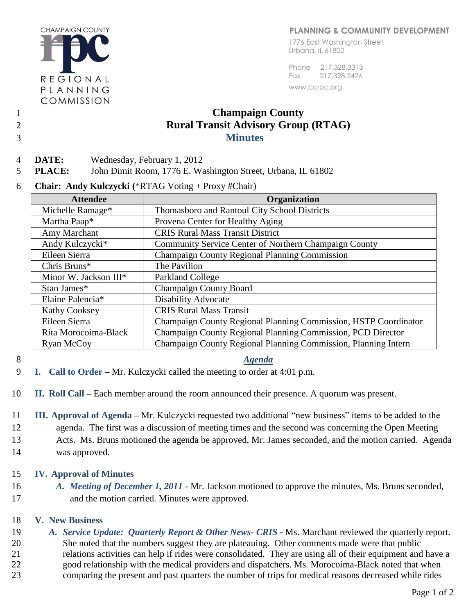#### PLANNING & COMMUNITY DEVELOPMENT

**CHAMPAIGN COUNTY** REGIONAL PLANNING COMMISSION

1776 East Washington Street Urbana, IL 61802

Phone 217.328.3313 217.328.2426 Fax www.ccrpc.org

# 1 **Champaign County**  2 **Rural Transit Advisory Group (RTAG)**  3 **Minutes**

- 
- 
- 4 **DATE:** Wednesday, February 1, 2012

5 **PLACE:** John Dimit Room, 1776 E. Washington Street, Urbana, IL 61802

6 **Chair: Andy Kulczycki (**\*RTAG Voting + Proxy #Chair)

| <b>Attendee</b>       | Organization                                                    |
|-----------------------|-----------------------------------------------------------------|
| Michelle Ramage*      | Thomasboro and Rantoul City School Districts                    |
| Martha Paap*          | Provena Center for Healthy Aging                                |
| Amy Marchant          | <b>CRIS Rural Mass Transit District</b>                         |
| Andy Kulczycki*       | Community Service Center of Northern Champaign County           |
| Eileen Sierra         | Champaign County Regional Planning Commission                   |
| Chris Bruns*          | The Pavilion                                                    |
| Minor W. Jackson III* | Parkland College                                                |
| Stan James*           | <b>Champaign County Board</b>                                   |
| Elaine Palencia*      | <b>Disability Advocate</b>                                      |
| <b>Kathy Cooksey</b>  | <b>CRIS Rural Mass Transit</b>                                  |
| Eileen Sierra         | Champaign County Regional Planning Commission, HSTP Coordinator |
| Rita Morocoima-Black  | Champaign County Regional Planning Commission, PCD Director     |
| Ryan McCoy            | Champaign County Regional Planning Commission, Planning Intern  |

## 8 *Agenda*

- 9 **I. Call to Order –** Mr. Kulczycki called the meeting to order at 4:01 p.m.
- 10 **II. Roll Call –** Each member around the room announced their presence. A quorum was present.
- 11 **III. Approval of Agenda –** Mr. Kulczycki requested two additional "new business" items to be added to the 12 agenda. The first was a discussion of meeting times and the second was concerning the Open Meeting 13 Acts. Ms. Bruns motioned the agenda be approved, Mr. James seconded, and the motion carried. Agenda 14 was approved.

## 15 **IV. Approval of Minutes**

16 *A. Meeting of December 1, 2011 -* Mr. Jackson motioned to approve the minutes, Ms. Bruns seconded, 17 and the motion carried. Minutes were approved.

# 18 **V. New Business**

 *A. Service Update: Quarterly Report & Other News- CRIS -* Ms. Marchant reviewed the quarterly report. She noted that the numbers suggest they are plateauing. Other comments made were that public relations activities can help if rides were consolidated. They are using all of their equipment and have a good relationship with the medical providers and dispatchers. Ms. Morocoima-Black noted that when comparing the present and past quarters the number of trips for medical reasons decreased while rides